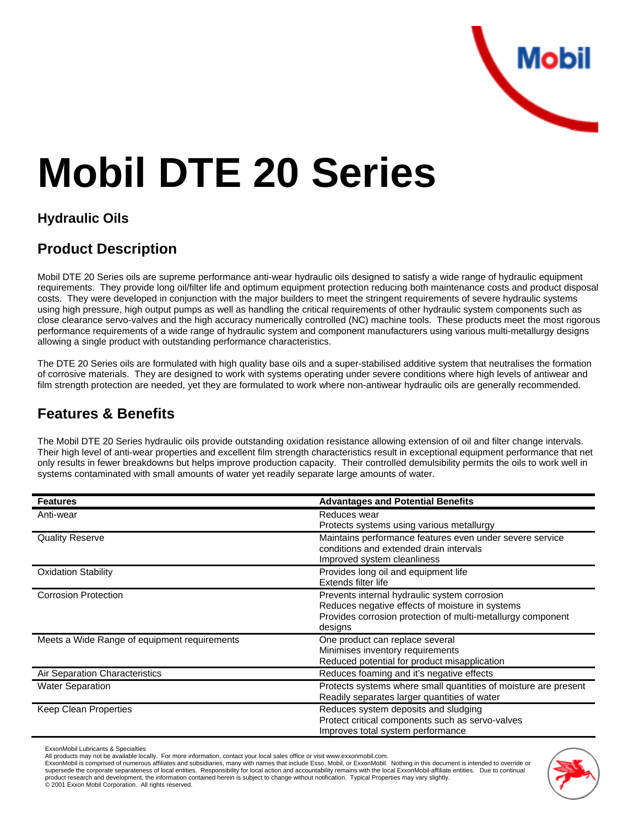

# **Mobil DTE 20 Series**

#### **Hydraulic Oils**

### **Product Description**

Mobil DTE 20 Series oils are supreme performance anti-wear hydraulic oils designed to satisfy a wide range of hydraulic equipment requirements. They provide long oil/filter life and optimum equipment protection reducing both maintenance costs and product disposal costs. They were developed in conjunction with the major builders to meet the stringent requirements of severe hydraulic systems using high pressure, high output pumps as well as handling the critical requirements of other hydraulic system components such as close clearance servo-valves and the high accuracy numerically controlled (NC) machine tools. These products meet the most rigorous performance requirements of a wide range of hydraulic system and component manufacturers using various multi-metallurgy designs allowing a single product with outstanding performance characteristics.

The DTE 20 Series oils are formulated with high quality base oils and a super-stabilised additive system that neutralises the formation of corrosive materials. They are designed to work with systems operating under severe conditions where high levels of antiwear and film strength protection are needed, yet they are formulated to work where non-antiwear hydraulic oils are generally recommended.

#### **Features & Benefits**

The Mobil DTE 20 Series hydraulic oils provide outstanding oxidation resistance allowing extension of oil and filter change intervals. Their high level of anti-wear properties and excellent film strength characteristics result in exceptional equipment performance that net only results in fewer breakdowns but helps improve production capacity. Their controlled demulsibility permits the oils to work well in systems contaminated with small amounts of water yet readily separate large amounts of water.

| <b>Features</b>                              | <b>Advantages and Potential Benefits</b>                                                                                                                                  |
|----------------------------------------------|---------------------------------------------------------------------------------------------------------------------------------------------------------------------------|
| Anti-wear                                    | Reduces wear<br>Protects systems using various metallurgy                                                                                                                 |
| <b>Quality Reserve</b>                       | Maintains performance features even under severe service<br>conditions and extended drain intervals<br>Improved system cleanliness                                        |
| <b>Oxidation Stability</b>                   | Provides long oil and equipment life<br>Extends filter life                                                                                                               |
| <b>Corrosion Protection</b>                  | Prevents internal hydraulic system corrosion<br>Reduces negative effects of moisture in systems<br>Provides corrosion protection of multi-metallurgy component<br>designs |
| Meets a Wide Range of equipment requirements | One product can replace several<br>Minimises inventory requirements<br>Reduced potential for product misapplication                                                       |
| Air Separation Characteristics               | Reduces foaming and it's negative effects                                                                                                                                 |
| <b>Water Separation</b>                      | Protects systems where small quantities of moisture are present<br>Readily separates larger quantities of water                                                           |
| Keep Clean Properties                        | Reduces system deposits and sludging<br>Protect critical components such as servo-valves<br>Improves total system performance                                             |

ExxonMobil Lubricants & Specialties

ExxonMobil is comprised of numerous affiliates and subsidiaries, many with names that include Esso, Mobil, or ExxonMobil. Nothing in this document is intended to override or supersede the corporate separateness of local entities. Responsibility for local action and accountability remains with the local ExxonMobil-affiliate entities. Due to continual product research and development, the information contained herein is subject to change without notification. Typical Properties may vary slightly.<br>© 2001 Exxon Mobil Corporation. All rights reserved.



All products may not be available locally. For more information, contact your local sales office or visit www.exxonmobil.com.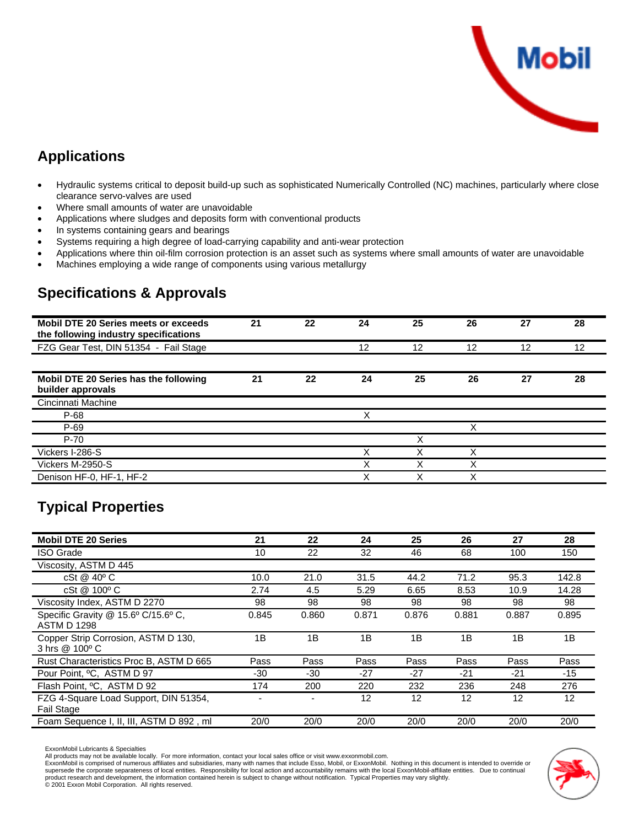

## **Applications**

- Hydraulic systems critical to deposit build-up such as sophisticated Numerically Controlled (NC) machines, particularly where close clearance servo-valves are used
- Where small amounts of water are unavoidable
- Applications where sludges and deposits form with conventional products
- In systems containing gears and bearings
- Systems requiring a high degree of load-carrying capability and anti-wear protection
- Applications where thin oil-film corrosion protection is an asset such as systems where small amounts of water are unavoidable
- Machines employing a wide range of components using various metallurgy

## **Specifications & Approvals**

| <b>Mobil DTE 20 Series meets or exceeds</b><br>the following industry specifications | 21 | 22 | 24 | 25 | 26 | 27 | 28 |
|--------------------------------------------------------------------------------------|----|----|----|----|----|----|----|
| FZG Gear Test, DIN 51354 - Fail Stage                                                |    |    | 12 | 12 | 12 | 12 | 12 |
|                                                                                      |    |    |    |    |    |    |    |
| Mobil DTE 20 Series has the following<br>builder approvals                           | 21 | 22 | 24 | 25 | 26 | 27 | 28 |
| Cincinnati Machine                                                                   |    |    |    |    |    |    |    |
| P-68                                                                                 |    |    | X  |    |    |    |    |
| P-69                                                                                 |    |    |    |    | Χ  |    |    |
| $P-70$                                                                               |    |    |    | Χ  |    |    |    |
| Vickers I-286-S                                                                      |    |    | X  | Χ  | Χ  |    |    |
| Vickers M-2950-S                                                                     |    |    | Χ  | Χ  | Χ  |    |    |
| Denison HF-0, HF-1, HF-2                                                             |    |    | Χ  | Χ  | v  |    |    |

#### **Typical Properties**

| <b>Mobil DTE 20 Series</b>                                 | 21    | 22    | 24    | 25    | 26                | 27    | 28    |
|------------------------------------------------------------|-------|-------|-------|-------|-------------------|-------|-------|
| <b>ISO Grade</b>                                           | 10    | 22    | 32    | 46    | 68                | 100   | 150   |
| Viscosity, ASTM D 445                                      |       |       |       |       |                   |       |       |
| cSt @ 40°C                                                 | 10.0  | 21.0  | 31.5  | 44.2  | 71.2              | 95.3  | 142.8 |
| cSt @ 100° C                                               | 2.74  | 4.5   | 5.29  | 6.65  | 8.53              | 10.9  | 14.28 |
| Viscosity Index, ASTM D 2270                               | 98    | 98    | 98    | 98    | 98                | 98    | 98    |
| Specific Gravity @ 15.6° C/15.6° C,<br><b>ASTM D 1298</b>  | 0.845 | 0.860 | 0.871 | 0.876 | 0.881             | 0.887 | 0.895 |
| Copper Strip Corrosion, ASTM D 130,<br>3 hrs @ 100° C      | 1B    | 1B    | 1B    | 1B    | 1B                | 1B    | 1B    |
| Rust Characteristics Proc B, ASTM D 665                    | Pass  | Pass  | Pass  | Pass  | Pass              | Pass  | Pass  |
| Pour Point, <sup>o</sup> C. ASTM D 97                      | -30   | -30   | -27   | -27   | $-21$             | $-21$ | -15   |
| Flash Point, <sup>o</sup> C. ASTM D 92                     | 174   | 200   | 220   | 232   | 236               | 248   | 276   |
| FZG 4-Square Load Support, DIN 51354,<br><b>Fail Stage</b> |       |       | 12    | 12    | $12 \overline{ }$ | 12    | 12    |
| Foam Sequence I, II, III, ASTM D 892, ml                   | 20/0  | 20/0  | 20/0  | 20/0  | 20/0              | 20/0  | 20/0  |

ExxonMobil Lubricants & Specialties

All products may not be available locally. For more information, contact your local sales office or visit www.exxonmobil.com.

ExxonMobil is comprised of numerous affiliates and subsidiaries, many with names that include Esso, Mobil, or ExxonMobil. Nothing in this document is intended to override or supersede the corporate separateness of local entities. Responsibility for local action and accountability remains with the local ExxonMobil-affiliate entities. Due to continual<br>product research and development, the infor